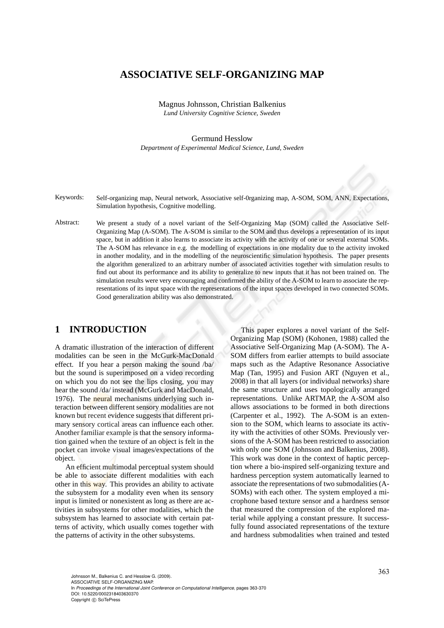# **ASSOCIATIVE SELF-ORGANIZING MAP**

Magnus Johnsson, Christian Balkenius *Lund University Cognitive Science, Sweden*

#### Germund Hesslow

*Department of Experimental Medical Science, Lund, Sweden*

Keywords: Self-organizing map, Neural network, Associative self-0rganizing map, A-SOM, SOM, ANN, Expectations, Simulation hypothesis, Cognitive modelling.

Abstract: We present a study of a novel variant of the Self-Organizing Map (SOM) called the Associative Self-Organizing Map (A-SOM). The A-SOM is similar to the SOM and thus develops a representation of its input space, but in addition it also learns to associate its activity with the activity of one or several external SOMs. The A-SOM has relevance in e.g. the modelling of expectations in one modality due to the activity invoked in another modality, and in the modelling of the neuroscientific simulation hypothesis. The paper presents the algorithm generalized to an arbitrary number of associated activities together with simulation results to find out about its performance and its ability to generalize to new inputs that it has not been trained on. The simulation results were very encouraging and confirmed the ability of the A-SOM to learn to associate the representations of its input space with the representations of the input spaces developed in two connected SOMs. Good generalization ability was also demonstrated.

## **1 INTRODUCTION**

A dramatic illustration of the interaction of different modalities can be seen in the McGurk-MacDonald effect. If you hear a person making the sound /ba/ but the sound is superimposed on a video recording on which you do not see the lips closing, you may hear the sound /da/ instead (McGurk and MacDonald, 1976). The neural mechanisms underlying such interaction between different sensory modalities are not known but recent evidence suggests that different primary sensory cortical areas can influence each other. Another familiar example is that the sensory information gained when the texture of an object is felt in the pocket can invoke visual images/expectations of the object.

An efficient multimodal perceptual system should be able to associate different modalities with each other in this way. This provides an ability to activate the subsystem for a modality even when its sensory input is limited or nonexistent as long as there are activities in subsystems for other modalities, which the subsystem has learned to associate with certain patterns of activity, which usually comes together with the patterns of activity in the other subsystems.

This paper explores a novel variant of the Self-Organizing Map (SOM) (Kohonen, 1988) called the Associative Self-Organizing Map (A-SOM). The A-SOM differs from earlier attempts to build associate maps such as the Adaptive Resonance Associative Map (Tan, 1995) and Fusion ART (Nguyen et al., 2008) in that all layers (or individual networks) share the same structure and uses topologically arranged representations. Unlike ARTMAP, the A-SOM also allows associations to be formed in both directions (Carpenter et al., 1992). The A-SOM is an extension to the SOM, which learns to associate its activity with the activities of other SOMs. Previously versions of the A-SOM has been restricted to association with only one SOM (Johnsson and Balkenius, 2008). This work was done in the context of haptic perception where a bio-inspired self-organizing texture and hardness perception system automatically learned to associate the representations of two submodalities (A-SOMs) with each other. The system employed a microphone based texture sensor and a hardness sensor that measured the compression of the explored material while applying a constant pressure. It successfully found associated representations of the texture and hardness submodalities when trained and tested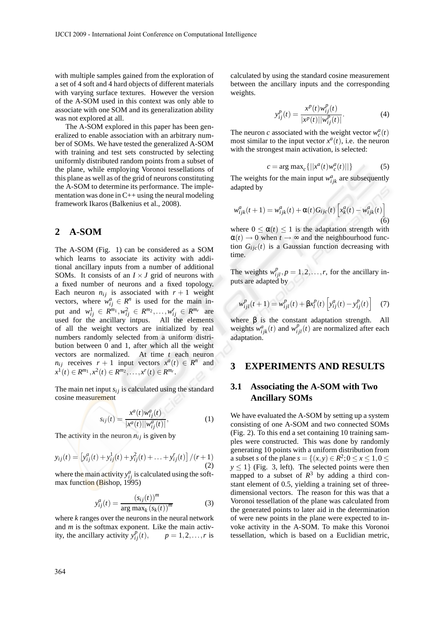with multiple samples gained from the exploration of a set of 4 soft and 4 hard objects of different materials with varying surface textures. However the version of the A-SOM used in this context was only able to associate with one SOM and its generalization ability was not explored at all.

The A-SOM explored in this paper has been generalized to enable association with an arbitrary number of SOMs. We have tested the generalized A-SOM with training and test sets constructed by selecting uniformly distributed random points from a subset of the plane, while employing Voronoi tessellations of this plane as well as of the grid of neurons constituting the A-SOM to determine its performance. The implementation was done in C++ using the neural modeling framework Ikaros (Balkenius et al., 2008).

### **2 A-SOM**

The A-SOM (Fig. 1) can be considered as a SOM which learns to associate its activity with additional ancillary inputs from a number of additional SOMs. It consists of an  $I \times J$  grid of neurons with a fixed number of neurons and a fixed topology. Each neuron  $n_{ij}$  is associated with  $r + 1$  weight vectors, where  $w_{ij}^a \in R^n$  is used for the main input and  $w_{ij}^1 \in R^{m_1}, w_{ij}^2 \in R^{m_2}, \ldots, w_{ij}^r \in R^{m_r}$  are used for the ancillary intpus. All the elements of all the weight vectors are initialized by real numbers randomly selected from a uniform distribution between 0 and 1, after which all the weight vectors are normalized. At time *t* each neuron *n*<sub>ij</sub> receives  $r + 1$  input vectors  $x^a(t) \in R^n$  and  $x^1(t) \in R^{m_1}, x^2(t) \in R^{m_2}, \ldots, x^r(t) \in R^{m_r}.$ 

The main net input  $s_{ij}$  is calculated using the standard cosine measurement

$$
s_{ij}(t) = \frac{x^{a}(t)w_{ij}^{a}(t)}{|x^{a}(t)||w_{ij}^{a}(t)|},
$$
\n(1)

The activity in the neuron  $n_{ij}$  is given by

$$
y_{ij}(t) = \left[ y_{ij}^a(t) + y_{ij}^1(t) + y_{ij}^2(t) + \dots + y_{ij}^r(t) \right] / (r+1)
$$
\n(2)

where the main activity  $y_{ij}^a$  is calculated using the softmax function (Bishop, 1995)

$$
y_{ij}^a(t) = \frac{(s_{ij}(t))^m}{\arg \max_k (s_k(t))^m}
$$
 (3)

where *k* ranges over the neurons in the neural network and *m* is the softmax exponent. Like the main activity, the ancillary activity  $y_{ij}^p(t)$ ,  $p = 1, 2, ..., r$  is

calculated by using the standard cosine measurement between the ancillary inputs and the corresponding weights.

$$
y_{ij}^p(t) = \frac{x^p(t)w_{ij}^p(t)}{|x^p(t)||w_{ij}^p(t)|}.
$$
 (4)

The neuron *c* associated with the weight vector  $w_c^a(t)$ most similar to the input vector  $x^a(t)$ , i.e. the neuron with the strongest main activation, is selected:

$$
c = \arg \max_{c} \{ ||x^a(t) w_c^a(t)|| \}
$$
 (5)

The weights for the main input  $w_{ijk}^a$  are subsequently adapted by

$$
w_{ijk}^{a}(t+1) = w_{ijk}^{a}(t) + \alpha(t)G_{ijc}(t)\left[x_{k}^{a}(t) - w_{ijk}^{a}(t)\right]
$$
\n(6)

where  $0 \leq \alpha(t) \leq 1$  is the adaptation strength with  $\alpha(t) \rightarrow 0$  when  $t \rightarrow \infty$  and the neighbourhood function  $G_{ijc}(t)$  is a Gaussian function decreasing with time.

The weights  $w_{ijl}^p$ ,  $p = 1, 2, ..., r$ , for the ancillary inputs are adapted by

$$
w_{ijl}^{p}(t+1) = w_{ijl}^{p}(t) + \beta x_{l}^{p}(t) \left[ y_{ij}^{a}(t) - y_{ij}^{p}(t) \right] \quad (7)
$$

where  $\beta$  is the constant adaptation strength. All weights  $w_{ijk}^a(t)$  and  $w_{ijl}^p(t)$  are normalized after each adaptation.

#### **3 EXPERIMENTS AND RESULTS**

## **3.1 Associating the A-SOM with Two Ancillary SOMs**

We have evaluated the A-SOM by setting up a system consisting of one A-SOM and two connected SOMs (Fig. 2). To this end a set containing 10 training samples were constructed. This was done by randomly generating 10 points with a uniform distribution from a subset *s* of the plane  $s = \{(x, y) \in \mathbb{R}^2 : 0 \le x \le 1, 0 \le x \le 1\}$  $y \le 1$ } (Fig. 3, left). The selected points were then mapped to a subset of  $R^3$  by adding a third constant element of 0.5, yielding a training set of threedimensional vectors. The reason for this was that a Voronoi tessellation of the plane was calculated from the generated points to later aid in the determination of were new points in the plane were expected to invoke activity in the A-SOM. To make this Voronoi tessellation, which is based on a Euclidian metric,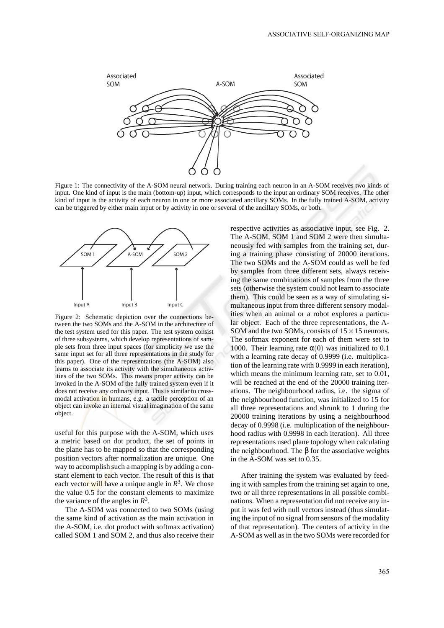

Figure 1: The connectivity of the A-SOM neural network. During training each neuron in an A-SOM receives two kinds of input. One kind of input is the main (bottom-up) input, which corresponds to the input an ordinary SOM receives. The other kind of input is the activity of each neuron in one or more associated ancillary SOMs. In the fully trained A-SOM, activity can be triggered by either main input or by activity in one or several of the ancillary SOMs, or both.



Figure 2: Schematic depiction over the connections between the two SOMs and the A-SOM in the architecture of the test system used for this paper. The test system consist of three subsystems, which develop representations of sample sets from three input spaces (for simplicity we use the same input set for all three representations in the study for this paper). One of the representations (the A-SOM) also learns to associate its activity with the simultaneous activities of the two SOMs. This means proper activity can be invoked in the A-SOM of the fully trained system even if it does not receive any ordinary input. This is similar to crossmodal activation in humans, e.g. a tactile perception of an object can invoke an internal visual imagination of the same object.

useful for this purpose with the A-SOM, which uses a metric based on dot product, the set of points in the plane has to be mapped so that the corresponding position vectors after normalization are unique. One way to accomplish such a mapping is by adding a constant element to each vector. The result of this is that each vector will have a unique angle in *R* 3 . We chose the value 0.5 for the constant elements to maximize the variance of the angles in  $R^3$ .

The A-SOM was connected to two SOMs (using the same kind of activation as the main activation in the A-SOM, i.e. dot product with softmax activation) called SOM 1 and SOM 2, and thus also receive their respective activities as associative input, see Fig. 2. The A-SOM, SOM 1 and SOM 2 were then simultaneously fed with samples from the training set, during a training phase consisting of 20000 iterations. The two SOMs and the A-SOM could as well be fed by samples from three different sets, always receiving the same combinations of samples from the three sets (otherwise the system could not learn to associate them). This could be seen as a way of simulating simultaneous input from three different sensory modalities when an animal or a robot explores a particular object. Each of the three representations, the A-SOM and the two SOMs, consists of  $15 \times 15$  neurons. The softmax exponent for each of them were set to 1000. Their learning rate  $\alpha(0)$  was initialized to 0.1 with a learning rate decay of 0.9999 (i.e. multiplication of the learning rate with 0.9999 in each iteration), which means the minimum learning rate, set to 0.01, will be reached at the end of the 20000 training iterations. The neighbourhood radius, i.e. the sigma of the neighbourhood function, was initialized to 15 for all three representations and shrunk to 1 during the 20000 training iterations by using a neighbourhood decay of 0.9998 (i.e. multiplication of the neighbourhood radius with 0.9998 in each iteration). All three representations used plane topology when calculating the neighbourhood. The  $β$  for the associative weights in the A-SOM was set to 0.35.

After training the system was evaluated by feeding it with samples from the training set again to one, two or all three representations in all possible combinations. When a representation did not receive any input it was fed with null vectors instead (thus simulating the input of no signal from sensors of the modality of that representation). The centers of activity in the A-SOM as well as in the two SOMs were recorded for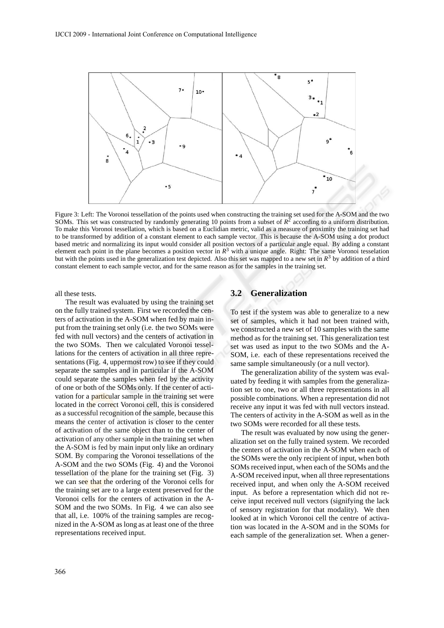

Figure 3: Left: The Voronoi tessellation of the points used when constructing the training set used for the A-SOM and the two SOMs. This set was constructed by randomly generating 10 points from a subset of  $R^2$  according to a uniform distribution. To make this Voronoi tessellation, which is based on a Euclidian metric, valid as a measure of proximity the training set had to be transformed by addition of a constant element to each sample vector. This is because the A-SOM using a dot product based metric and normalizing its input would consider all position vectors of a particular angle equal. By adding a constant element each point in the plane becomes a position vector in *R* <sup>3</sup> with a unique angle. Right: The same Voronoi tesselation but with the points used in the generalization test depicted. Also this set was mapped to a new set in  $R^3$  by addition of a third constant element to each sample vector, and for the same reason as for the samples in the training set.

all these tests.

The result was evaluated by using the training set on the fully trained system. First we recorded the centers of activation in the A-SOM when fed by main input from the training set only (i.e. the two SOMs were fed with null vectors) and the centers of activation in the two SOMs. Then we calculated Voronoi tessellations for the centers of activation in all three representations (Fig. 4, uppermost row) to see if they could separate the samples and in particular if the A-SOM could separate the samples when fed by the activity of one or both of the SOMs only. If the center of activation for a particular sample in the training set were located in the correct Voronoi cell, this is considered as a successful recognition of the sample, because this means the center of activation is closer to the center of activation of the same object than to the center of activation of any other sample in the training set when the A-SOM is fed by main input only like an ordinary SOM. By comparing the Voronoi tessellations of the A-SOM and the two SOMs (Fig. 4) and the Voronoi tessellation of the plane for the training set (Fig. 3) we can see that the ordering of the Voronoi cells for the training set are to a large extent preserved for the Voronoi cells for the centers of activation in the A-SOM and the two SOMs. In Fig. 4 we can also see that all, i.e. 100% of the training samples are recognized in the A-SOM as long as at least one of the three representations received input.

### **3.2 Generalization**

To test if the system was able to generalize to a new set of samples, which it had not been trained with, we constructed a new set of 10 samples with the same method as for the training set. This generalization test set was used as input to the two SOMs and the A-SOM, i.e. each of these representations received the same sample simultaneously (or a null vector).

The generalization ability of the system was evaluated by feeding it with samples from the generalization set to one, two or all three representations in all possible combinations. When a representation did not receive any input it was fed with null vectors instead. The centers of activity in the A-SOM as well as in the two SOMs were recorded for all these tests.

The result was evaluated by now using the generalization set on the fully trained system. We recorded the centers of activation in the A-SOM when each of the SOMs were the only recipient of input, when both SOMs received input, when each of the SOMs and the A-SOM received input, when all three representations received input, and when only the A-SOM received input. As before a representation which did not receive input received null vectors (signifying the lack of sensory registration for that modality). We then looked at in which Voronoi cell the centre of activation was located in the A-SOM and in the SOMs for each sample of the generalization set. When a gener-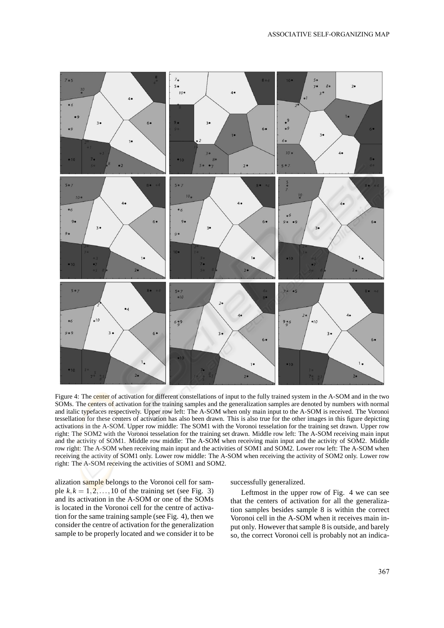

Figure 4: The center of activation for different constellations of input to the fully trained system in the A-SOM and in the two SOMs. The centers of activation for the training samples and the generalization samples are denoted by numbers with normal and italic typefaces respectively. Upper row left: The A-SOM when only main input to the A-SOM is received. The Voronoi tessellation for these centers of activation has also been drawn. This is also true for the other images in this figure depicting activations in the A-SOM. Upper row middle: The SOM1 with the Voronoi tesselation for the training set drawn. Upper row right: The SOM2 with the Voronoi tesselation for the training set drawn. Middle row left: The A-SOM receiving main input and the activity of SOM1. Middle row middle: The A-SOM when receiving main input and the activity of SOM2. Middle row right: The A-SOM when receiving main input and the activities of SOM1 and SOM2. Lower row left: The A-SOM when receiving the activity of SOM1 only. Lower row middle: The A-SOM when receiving the activity of SOM2 only. Lower row right: The A-SOM receiving the activities of SOM1 and SOM2.

alization sample belongs to the Voronoi cell for sample  $k, k = 1, 2, \ldots, 10$  of the training set (see Fig. 3) and its activation in the A-SOM or one of the SOMs is located in the Voronoi cell for the centre of activation for the same training sample (see Fig. 4), then we consider the centre of activation for the generalization sample to be properly located and we consider it to be successfully generalized.

Leftmost in the upper row of Fig. 4 we can see that the centers of activation for all the generalization samples besides sample 8 is within the correct Voronoi cell in the A-SOM when it receives main input only. However that sample 8 is outside, and barely so, the correct Voronoi cell is probably not an indica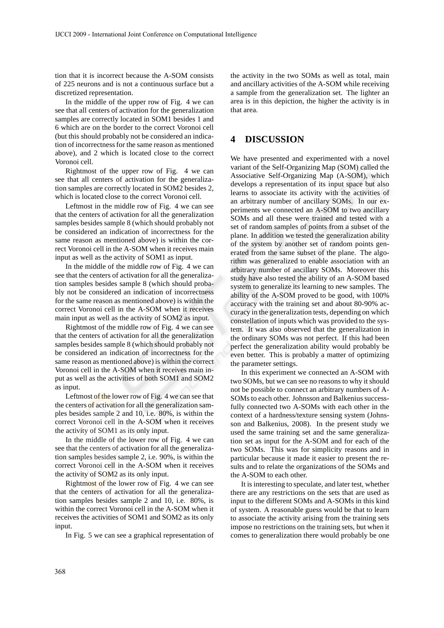tion that it is incorrect because the A-SOM consists of 225 neurons and is not a continuous surface but a discretized representation.

In the middle of the upper row of Fig. 4 we can see that all centers of activation for the generalization samples are correctly located in SOM1 besides 1 and 6 which are on the border to the correct Voronoi cell (but this should probably not be considered an indication of incorrectness for the same reason as mentioned above), and 2 which is located close to the correct Voronoi cell.

Rightmost of the upper row of Fig. 4 we can see that all centers of activation for the generalization samples are correctly located in SOM2 besides 2, which is located close to the correct Voronoi cell.

Leftmost in the middle row of Fig. 4 we can see that the centers of activation for all the generalization samples besides sample 8 (which should probably not be considered an indication of incorrectness for the same reason as mentioned above) is within the correct Voronoi cell in the A-SOM when it receives main input as well as the activity of SOM1 as input.

In the middle of the middle row of Fig. 4 we can see that the centers of activation for all the generalization samples besides sample 8 (which should probably not be considered an indication of incorrectness for the same reason as mentioned above) is within the correct Voronoi cell in the A-SOM when it receives main input as well as the activity of SOM2 as input.

Rightmost of the middle row of Fig. 4 we can see that the centers of activation for all the generalization samples besides sample 8 (which should probably not be considered an indication of incorrectness for the same reason as mentioned above) is within the correct Voronoi cell in the A-SOM when it receives main input as well as the activities of both SOM1 and SOM2 as input.

Leftmost of the lower row of Fig. 4 we can see that the centers of activation for all the generalization samples besides sample 2 and 10, i.e. 80%, is within the correct Voronoi cell in the A-SOM when it receives the activity of SOM1 as its only input.

In the middle of the lower row of Fig. 4 we can see that the centers of activation for all the generalization samples besides sample 2, i.e. 90%, is within the correct Voronoi cell in the A-SOM when it receives the activity of SOM2 as its only input.

Rightmost of the lower row of Fig. 4 we can see that the centers of activation for all the generalization samples besides sample 2 and 10, i.e. 80%, is within the correct Voronoi cell in the A-SOM when it receives the activities of SOM1 and SOM2 as its only input.

In Fig. 5 we can see a graphical representation of

the activity in the two SOMs as well as total, main and ancillary activities of the A-SOM while receiving a sample from the generalization set. The lighter an area is in this depiction, the higher the activity is in that area.

## **4 DISCUSSION**

We have presented and experimented with a novel variant of the Self-Organizing Map (SOM) called the Associative Self-Organizing Map (A-SOM), which develops a representation of its input space but also learns to associate its activity with the activities of an arbitrary number of ancillary SOMs. In our experiments we connected an A-SOM to two ancillary SOMs and all these were trained and tested with a set of random samples of points from a subset of the plane. In addition we tested the generalization ability of the system by another set of random points generated from the same subset of the plane. The algorithm was generalized to enable association with an arbitrary number of ancillary SOMs. Moreover this study have also tested the ability of an A-SOM based system to generalize its learning to new samples. The ability of the A-SOM proved to be good, with 100% accuracy with the training set and about 80-90% accuracy in the generalization tests, depending on which constellation of inputs which was provided to the system. It was also observed that the generalization in the ordinary SOMs was not perfect. If this had been perfect the generalization ability would probably be even better. This is probably a matter of optimizing the parameter settings.

In this experiment we connected an A-SOM with two SOMs, but we can see no reasons to why it should not be possible to connect an arbitrary numbers of A-SOMs to each other. Johnsson and Balkenius successfully connected two A-SOMs with each other in the context of a hardness/texture sensing system (Johnsson and Balkenius, 2008). In the present study we used the same training set and the same generalization set as input for the A-SOM and for each of the two SOMs. This was for simplicity reasons and in particular because it made it easier to present the results and to relate the organizations of the SOMs and the A-SOM to each other.

It is interesting to speculate, and later test, whether there are any restrictions on the sets that are used as input to the different SOMs and A-SOMs in this kind of system. A reasonable guess would be that to learn to associate the activity arising from the training sets impose no restrictions on the training sets, but when it comes to generalization there would probably be one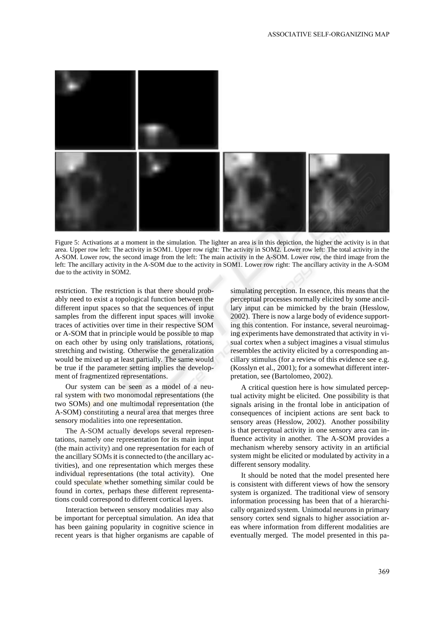

Figure 5: Activations at a moment in the simulation. The lighter an area is in this depiction, the higher the activity is in that area. Upper row left: The activity in SOM1. Upper row right: The activity in SOM2. Lower row left: The total activity in the A-SOM. Lower row, the second image from the left: The main activity in the A-SOM. Lower row, the third image from the left: The ancillary activity in the A-SOM due to the activity in SOM1. Lower row right: The ancillary activity in the A-SOM due to the activity in SOM2.

restriction. The restriction is that there should probably need to exist a topological function between the different input spaces so that the sequences of input samples from the different input spaces will invoke traces of activities over time in their respective SOM or A-SOM that in principle would be possible to map on each other by using only translations, rotations, stretching and twisting. Otherwise the generalization would be mixed up at least partially. The same would be true if the parameter setting implies the development of fragmentized representations.

Our system can be seen as a model of a neural system with two monomodal representations (the two SOMs) and one multimodal representation (the A-SOM) constituting a neural area that merges three sensory modalities into one representation.

The A-SOM actually develops several representations, namely one representation for its main input (the main activity) and one representation for each of the ancillary SOMs it is connected to (the ancillary activities), and one representation which merges these individual representations (the total activity). One could speculate whether something similar could be found in cortex, perhaps these different representations could correspond to different cortical layers.

Interaction between sensory modalities may also be important for perceptual simulation. An idea that has been gaining popularity in cognitive science in recent years is that higher organisms are capable of

simulating perception. In essence, this means that the perceptual processes normally elicited by some ancillary input can be mimicked by the brain (Hesslow, 2002). There is now a large body of evidence supporting this contention. For instance, several neuroimaging experiments have demonstrated that activity in visual cortex when a subject imagines a visual stimulus resembles the activity elicited by a corresponding ancillary stimulus (for a review of this evidence see e.g. (Kosslyn et al., 2001); for a somewhat different interpretation, see (Bartolomeo, 2002).

A critical question here is how simulated perceptual activity might be elicited. One possibility is that signals arising in the frontal lobe in anticipation of consequences of incipient actions are sent back to sensory areas (Hesslow, 2002). Another possibility is that perceptual activity in one sensory area can influence activity in another. The A-SOM provides a mechanism whereby sensory activity in an artificial system might be elicited or modulated by activity in a different sensory modality.

It should be noted that the model presented here is consistent with different views of how the sensory system is organized. The traditional view of sensory information processing has been that of a hierarchically organized system. Unimodal neurons in primary sensory cortex send signals to higher association areas where information from different modalities are eventually merged. The model presented in this pa-